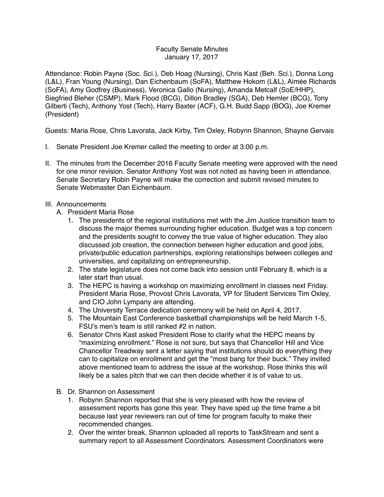## Faculty Senate Minutes January 17, 2017

Attendance: Robin Payne (Soc. Sci.), Deb Hoag (Nursing), Chris Kast (Beh. Sci.), Donna Long (L&L), Fran Young (Nursing), Dan Eichenbaum (SoFA), Matthew Hokom (L&L), Aimée Richards (SoFA), Amy Godfrey (Business), Veronica Gallo (Nursing), Amanda Metcalf (SoE/HHP), Siegfried Bleher (CSMP), Mark Flood (BCG), Dillon Bradley (SGA), Deb Hemler (BCG), Tony Gilberti (Tech), Anthony Yost (Tech), Harry Baxter (ACF), G.H. Budd Sapp (BOG), Joe Kremer (President)

Guests: Maria Rose, Chris Lavorata, Jack Kirby, Tim Oxley, Robynn Shannon, Shayne Gervais

- I. Senate President Joe Kremer called the meeting to order at 3:00 p.m.
- II. The minutes from the December 2016 Faculty Senate meeting were approved with the need for one minor revision. Senator Anthony Yost was not noted as having been in attendance. Senate Secretary Robin Payne will make the correction and submit revised minutes to Senate Webmaster Dan Eichenbaum.
- III. Announcements
	- A. President Maria Rose
		- 1. The presidents of the regional institutions met with the Jim Justice transition team to discuss the major themes surrounding higher education. Budget was a top concern and the presidents sought to convey the true value of higher education. They also discussed job creation, the connection between higher education and good jobs, private/public education partnerships, exploring relationships between colleges and universities, and capitalizing on entrepreneurship.
		- 2. The state legislature does not come back into session until February 8, which is a later start than usual.
		- 3. The HEPC is having a workshop on maximizing enrollment in classes next Friday. President Maria Rose, Provost Chris Lavorata, VP for Student Services Tim Oxley, and CIO John Lympany are attending.
		- 4. The University Terrace dedication ceremony will be held on April 4, 2017.
		- 5. The Mountain East Conference basketball championships will be held March 1-5, FSU's men's team is still ranked #2 in nation.
		- 6. Senator Chris Kast asked President Rose to clarify what the HEPC means by "maximizing enrollment." Rose is not sure, but says that Chancellor Hill and Vice Chancellor Treadway sent a letter saying that institutions should do everything they can to capitalize on enrollment and get the "most bang for their buck." They invited above mentioned team to address the issue at the workshop. Rose thinks this will likely be a sales pitch that we can then decide whether it is of value to us.
	- B. Dr. Shannon on Assessment
		- 1. Robynn Shannon reported that she is very pleased with how the review of assessment reports has gone this year. They have sped up the time frame a bit because last year reviewers ran out of time for program faculty to make their recommended changes.
		- 2. Over the winter break, Shannon uploaded all reports to TaskStream and sent a summary report to all Assessment Coordinators. Assessment Coordinators were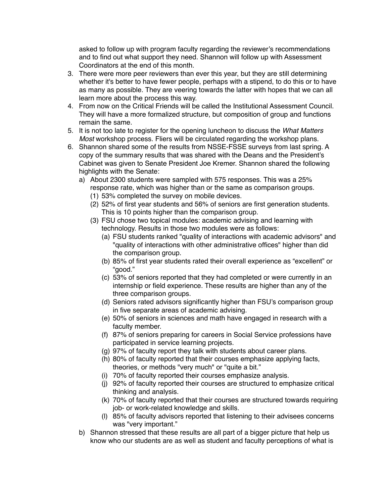asked to follow up with program faculty regarding the reviewer's recommendations and to find out what support they need. Shannon will follow up with Assessment Coordinators at the end of this month.

- 3. There were more peer reviewers than ever this year, but they are still determining whether it's better to have fewer people, perhaps with a stipend, to do this or to have as many as possible. They are veering towards the latter with hopes that we can all learn more about the process this way.
- 4. From now on the Critical Friends will be called the Institutional Assessment Council. They will have a more formalized structure, but composition of group and functions remain the same.
- 5. It is not too late to register for the opening luncheon to discuss the *What Matters Most* workshop process. Fliers will be circulated regarding the workshop plans.
- 6. Shannon shared some of the results from NSSE-FSSE surveys from last spring. A copy of the summary results that was shared with the Deans and the President's Cabinet was given to Senate President Joe Kremer. Shannon shared the following highlights with the Senate:
	- a) About 2300 students were sampled with 575 responses. This was a 25% response rate, which was higher than or the same as comparison groups.
		- (1) 53% completed the survey on mobile devices.
		- (2) 52% of first year students and 56% of seniors are first generation students. This is 10 points higher than the comparison group.
		- (3) FSU chose two topical modules: academic advising and learning with technology. Results in those two modules were as follows:
			- (a) FSU students ranked "quality of interactions with academic advisors" and "quality of interactions with other administrative offices" higher than did the comparison group.
			- (b) 85% of first year students rated their overall experience as "excellent" or "good."
			- (c) 53% of seniors reported that they had completed or were currently in an internship or field experience. These results are higher than any of the three comparison groups.
			- (d) Seniors rated advisors significantly higher than FSU's comparison group in five separate areas of academic advising.
			- (e) 50% of seniors in sciences and math have engaged in research with a faculty member.
			- (f) 87% of seniors preparing for careers in Social Service professions have participated in service learning projects.
			- (g) 97% of faculty report they talk with students about career plans.
			- (h) 80% of faculty reported that their courses emphasize applying facts, theories, or methods "very much" or "quite a bit."
			- (i) 70% of faculty reported their courses emphasize analysis.
			- (j) 92% of faculty reported their courses are structured to emphasize critical thinking and analysis.
			- (k) 70% of faculty reported that their courses are structured towards requiring job- or work-related knowledge and skills.
			- (l) 85% of faculty advisors reported that listening to their advisees concerns was "very important."
	- b) Shannon stressed that these results are all part of a bigger picture that help us know who our students are as well as student and faculty perceptions of what is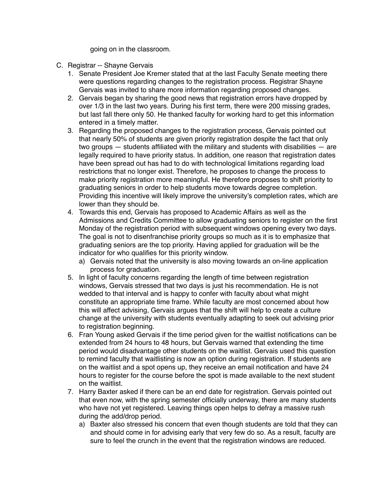going on in the classroom.

- C. Registrar -- Shayne Gervais
	- 1. Senate President Joe Kremer stated that at the last Faculty Senate meeting there were questions regarding changes to the registration process. Registrar Shayne Gervais was invited to share more information regarding proposed changes.
	- 2. Gervais began by sharing the good news that registration errors have dropped by over 1/3 in the last two years. During his first term, there were 200 missing grades, but last fall there only 50. He thanked faculty for working hard to get this information entered in a timely matter.
	- 3. Regarding the proposed changes to the registration process, Gervais pointed out that nearly 50% of students are given priority registration despite the fact that only two groups — students affiliated with the military and students with disabilities — are legally required to have priority status. In addition, one reason that registration dates have been spread out has had to do with technological limitations regarding load restrictions that no longer exist. Therefore, he proposes to change the process to make priority registration more meaningful. He therefore proposes to shift priority to graduating seniors in order to help students move towards degree completion. Providing this incentive will likely improve the university's completion rates, which are lower than they should be.
	- 4. Towards this end, Gervais has proposed to Academic Affairs as well as the Admissions and Credits Committee to allow graduating seniors to register on the first Monday of the registration period with subsequent windows opening every two days. The goal is not to disenfranchise priority groups so much as it is to emphasize that graduating seniors are the top priority. Having applied for graduation will be the indicator for who qualifies for this priority window.
		- a) Gervais noted that the university is also moving towards an on-line application process for graduation.
	- 5. In light of faculty concerns regarding the length of time between registration windows, Gervais stressed that two days is just his recommendation. He is not wedded to that interval and is happy to confer with faculty about what might constitute an appropriate time frame. While faculty are most concerned about how this will affect advising, Gervais argues that the shift will help to create a culture change at the university with students eventually adapting to seek out advising prior to registration beginning.
	- 6. Fran Young asked Gervais if the time period given for the waitlist notifications can be extended from 24 hours to 48 hours, but Gervais warned that extending the time period would disadvantage other students on the waitlist. Gervais used this question to remind faculty that waitlisting is now an option during registration. If students are on the waitlist and a spot opens up, they receive an email notification and have 24 hours to register for the course before the spot is made available to the next student on the waitlist.
	- 7. Harry Baxter asked if there can be an end date for registration. Gervais pointed out that even now, with the spring semester officially underway, there are many students who have not yet registered. Leaving things open helps to defray a massive rush during the add/drop period.
		- a) Baxter also stressed his concern that even though students are told that they can and should come in for advising early that very few do so. As a result, faculty are sure to feel the crunch in the event that the registration windows are reduced.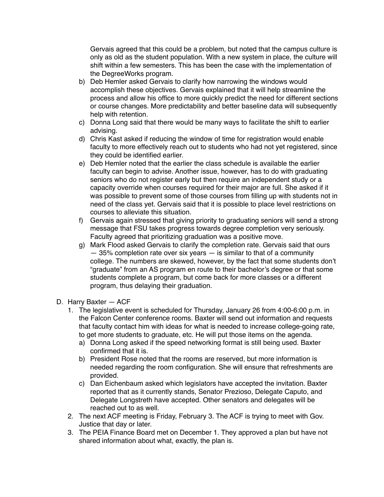Gervais agreed that this could be a problem, but noted that the campus culture is only as old as the student population. With a new system in place, the culture will shift within a few semesters. This has been the case with the implementation of the DegreeWorks program.

- b) Deb Hemler asked Gervais to clarify how narrowing the windows would accomplish these objectives. Gervais explained that it will help streamline the process and allow his office to more quickly predict the need for different sections or course changes. More predictability and better baseline data will subsequently help with retention.
- c) Donna Long said that there would be many ways to facilitate the shift to earlier advising.
- d) Chris Kast asked if reducing the window of time for registration would enable faculty to more effectively reach out to students who had not yet registered, since they could be identified earlier.
- e) Deb Hemler noted that the earlier the class schedule is available the earlier faculty can begin to advise. Another issue, however, has to do with graduating seniors who do not register early but then require an independent study or a capacity override when courses required for their major are full. She asked if it was possible to prevent some of those courses from filling up with students not in need of the class yet. Gervais said that it is possible to place level restrictions on courses to alleviate this situation.
- f) Gervais again stressed that giving priority to graduating seniors will send a strong message that FSU takes progress towards degree completion very seriously. Faculty agreed that prioritizing graduation was a positive move.
- g) Mark Flood asked Gervais to clarify the completion rate. Gervais said that ours — 35% completion rate over six years — is similar to that of a community college. The numbers are skewed, however, by the fact that some students don't "graduate" from an AS program en route to their bachelor's degree or that some students complete a program, but come back for more classes or a different program, thus delaying their graduation.
- D. Harry Baxter ACF
	- 1. The legislative event is scheduled for Thursday, January 26 from 4:00-6:00 p.m. in the Falcon Center conference rooms. Baxter will send out information and requests that faculty contact him with ideas for what is needed to increase college-going rate, to get more students to graduate, etc. He will put those items on the agenda.
		- a) Donna Long asked if the speed networking format is still being used. Baxter confirmed that it is.
		- b) President Rose noted that the rooms are reserved, but more information is needed regarding the room configuration. She will ensure that refreshments are provided.
		- c) Dan Eichenbaum asked which legislators have accepted the invitation. Baxter reported that as it currently stands, Senator Prezioso, Delegate Caputo, and Delegate Longstreth have accepted. Other senators and delegates will be reached out to as well.
	- 2. The next ACF meeting is Friday, February 3. The ACF is trying to meet with Gov. Justice that day or later.
	- 3. The PEIA Finance Board met on December 1. They approved a plan but have not shared information about what, exactly, the plan is.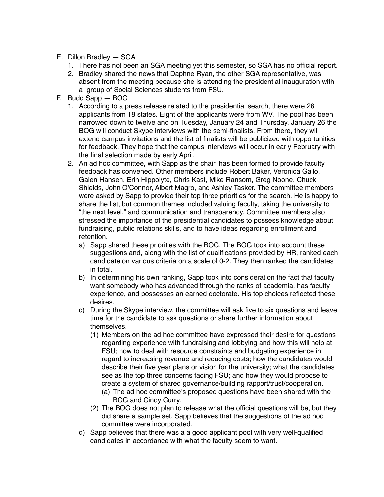- E. Dillon Bradley SGA
	- 1. There has not been an SGA meeting yet this semester, so SGA has no official report.
	- 2. Bradley shared the news that Daphne Ryan, the other SGA representative, was absent from the meeting because she is attending the presidential inauguration with a group of Social Sciences students from FSU.
- F. Budd Sapp BOG
	- 1. According to a press release related to the presidential search, there were 28 applicants from 18 states. Eight of the applicants were from WV. The pool has been narrowed down to twelve and on Tuesday, January 24 and Thursday, January 26 the BOG will conduct Skype interviews with the semi-finalists. From there, they will extend campus invitations and the list of finalists will be publicized with opportunities for feedback. They hope that the campus interviews will occur in early February with the final selection made by early April.
	- 2. An ad hoc committee, with Sapp as the chair, has been formed to provide faculty feedback has convened. Other members include Robert Baker, Veronica Gallo, Galen Hansen, Erin Hippolyte, Chris Kast, Mike Ransom, Greg Noone, Chuck Shields, John O'Connor, Albert Magro, and Ashley Tasker. The committee members were asked by Sapp to provide their top three priorities for the search. He is happy to share the list, but common themes included valuing faculty, taking the university to "the next level," and communication and transparency. Committee members also stressed the importance of the presidential candidates to possess knowledge about fundraising, public relations skills, and to have ideas regarding enrollment and retention.
		- a) Sapp shared these priorities with the BOG. The BOG took into account these suggestions and, along with the list of qualifications provided by HR, ranked each candidate on various criteria on a scale of 0-2. They then ranked the candidates in total.
		- b) In determining his own ranking, Sapp took into consideration the fact that faculty want somebody who has advanced through the ranks of academia, has faculty experience, and possesses an earned doctorate. His top choices reflected these desires.
		- c) During the Skype interview, the committee will ask five to six questions and leave time for the candidate to ask questions or share further information about themselves.
			- (1) Members on the ad hoc committee have expressed their desire for questions regarding experience with fundraising and lobbying and how this will help at FSU; how to deal with resource constraints and budgeting experience in regard to increasing revenue and reducing costs; how the candidates would describe their five year plans or vision for the university; what the candidates see as the top three concerns facing FSU; and how they would propose to create a system of shared governance/building rapport/trust/cooperation.
				- (a) The ad hoc committee's proposed questions have been shared with the BOG and Cindy Curry.
			- (2) The BOG does not plan to release what the official questions will be, but they did share a sample set. Sapp believes that the suggestions of the ad hoc committee were incorporated.
		- d) Sapp believes that there was a a good applicant pool with very well-qualified candidates in accordance with what the faculty seem to want.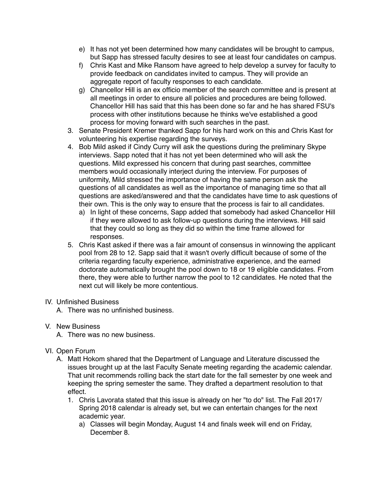- e) It has not yet been determined how many candidates will be brought to campus, but Sapp has stressed faculty desires to see at least four candidates on campus.
- f) Chris Kast and Mike Ransom have agreed to help develop a survey for faculty to provide feedback on candidates invited to campus. They will provide an aggregate report of faculty responses to each candidate.
- g) Chancellor Hill is an ex officio member of the search committee and is present at all meetings in order to ensure all policies and procedures are being followed. Chancellor Hill has said that this has been done so far and he has shared FSU's process with other institutions because he thinks we've established a good process for moving forward with such searches in the past.
- 3. Senate President Kremer thanked Sapp for his hard work on this and Chris Kast for volunteering his expertise regarding the surveys.
- 4. Bob Mild asked if Cindy Curry will ask the questions during the preliminary Skype interviews. Sapp noted that it has not yet been determined who will ask the questions. Mild expressed his concern that during past searches, committee members would occasionally interject during the interview. For purposes of uniformity, Mild stressed the importance of having the same person ask the questions of all candidates as well as the importance of managing time so that all questions are asked/answered and that the candidates have time to ask questions of their own. This is the only way to ensure that the process is fair to all candidates.
	- a) In light of these concerns, Sapp added that somebody had asked Chancellor Hill if they were allowed to ask follow-up questions during the interviews. Hill said that they could so long as they did so within the time frame allowed for responses.
- 5. Chris Kast asked if there was a fair amount of consensus in winnowing the applicant pool from 28 to 12. Sapp said that it wasn't overly difficult because of some of the criteria regarding faculty experience, administrative experience, and the earned doctorate automatically brought the pool down to 18 or 19 eligible candidates. From there, they were able to further narrow the pool to 12 candidates. He noted that the next cut will likely be more contentious.

## IV. Unfinished Business

A. There was no unfinished business.

- V. New Business
	- A. There was no new business.
- VI. Open Forum
	- A. Matt Hokom shared that the Department of Language and Literature discussed the issues brought up at the last Faculty Senate meeting regarding the academic calendar. That unit recommends rolling back the start date for the fall semester by one week and keeping the spring semester the same. They drafted a department resolution to that effect.
		- 1. Chris Lavorata stated that this issue is already on her "to do" list. The Fall 2017/ Spring 2018 calendar is already set, but we can entertain changes for the next academic year.
			- a) Classes will begin Monday, August 14 and finals week will end on Friday, December 8.